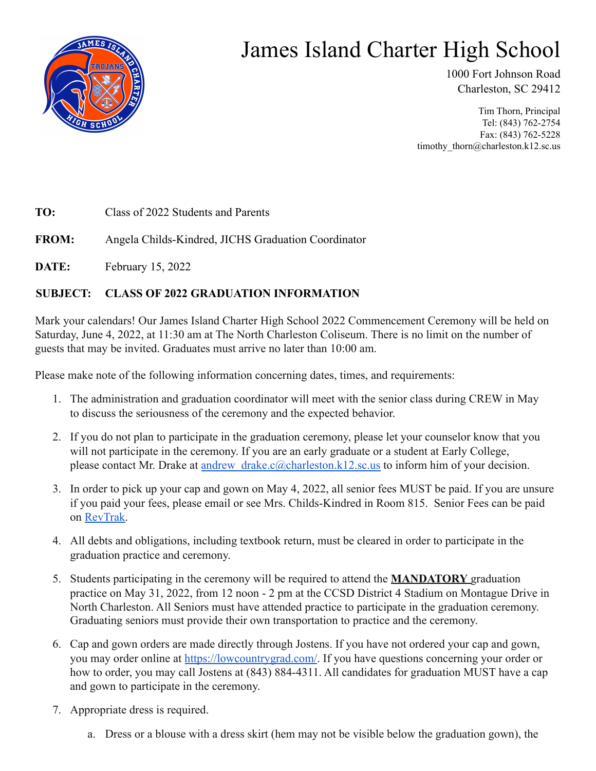

## James Island Charter High School

1000 Fort Johnson Road Charleston, SC 29412

Tim Thorn, Principal Tel: (843) 762-2754 Fax: (843) 762-5228 timothy\_thorn@charleston.k12.sc.us

**TO:** Class of 2022 Students and Parents

**FROM:** Angela Childs-Kindred, JICHS Graduation Coordinator

**DATE:** February 15, 2022

## **SUBJECT: CLASS OF 2022 GRADUATION INFORMATION**

Mark your calendars! Our James Island Charter High School 2022 Commencement Ceremony will be held on Saturday, June 4, 2022, at 11:30 am at The North Charleston Coliseum. There is no limit on the number of guests that may be invited. Graduates must arrive no later than 10:00 am.

Please make note of the following information concerning dates, times, and requirements:

- 1. The administration and graduation coordinator will meet with the senior class during CREW in May to discuss the seriousness of the ceremony and the expected behavior.
- 2. If you do not plan to participate in the graduation ceremony, please let your counselor know that you will not participate in the ceremony. If you are an early graduate or a student at Early College, please contact Mr. Drake at andrew drake.c@charleston.k12.sc.us to inform him of your decision.
- 3. In order to pick up your cap and gown on May 4, 2022, all senior fees MUST be paid. If you are unsure if you paid your fees, please email or see Mrs. Childs-Kindred in Room 815. Senior Fees can be paid on [RevTrak.](https://jamesislandhigh.revtrak.net/seniors/)
- 4. All debts and obligations, including textbook return, must be cleared in order to participate in the graduation practice and ceremony.
- 5. Students participating in the ceremony will be required to attend the **MANDATORY** graduation practice on May 31, 2022, from 12 noon - 2 pm at the CCSD District 4 Stadium on Montague Drive in North Charleston. All Seniors must have attended practice to participate in the graduation ceremony. Graduating seniors must provide their own transportation to practice and the ceremony.
- 6. Cap and gown orders are made directly through Jostens. If you have not ordered your cap and gown, you may order online at [https://lowcountrygrad.com/.](http://www.lowcountrygrad.com) If you have questions concerning your order or how to order, you may call Jostens at (843) 884-4311. All candidates for graduation MUST have a cap and gown to participate in the ceremony.
- 7. Appropriate dress is required.
	- a. Dress or a blouse with a dress skirt (hem may not be visible below the graduation gown), the